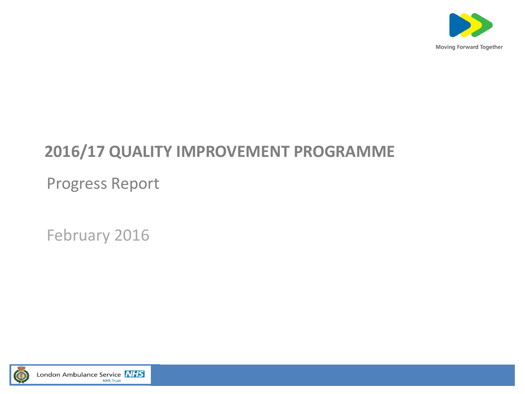

#### **2016/17 QUALITY IMPROVEMENT PROGRAMME**

Progress Report

February 2016

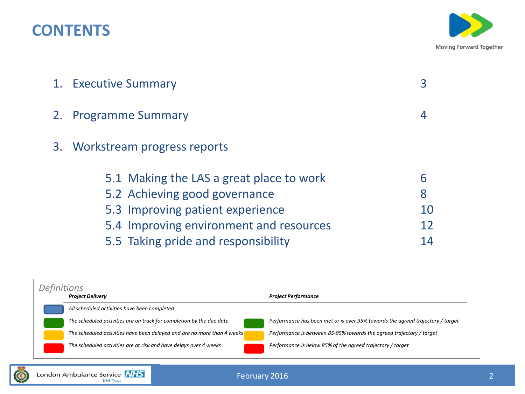#### **CONTENTS**



| 1. Executive Summary                                                                                          |              |
|---------------------------------------------------------------------------------------------------------------|--------------|
| 2. Programme Summary                                                                                          | 4            |
| 3. Workstream progress reports                                                                                |              |
| 5.1 Making the LAS a great place to work<br>5.2 Achieving good governance<br>5.3 Improving patient experience | 6<br>8<br>10 |
| 5.4 Improving environment and resources                                                                       | 12           |
| 5.5 Taking pride and responsibility                                                                           | 14           |

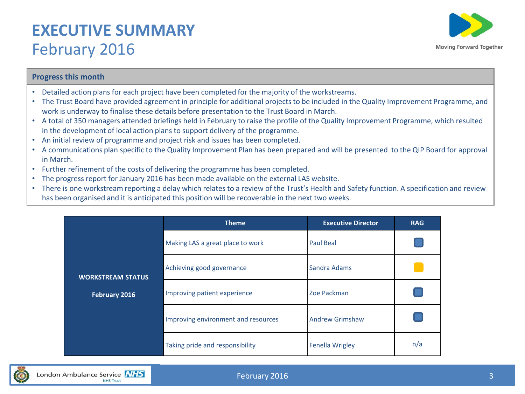#### **EXECUTIVE SUMMARY**  February 2016



#### **Progress this month**

- Detailed action plans for each project have been completed for the majority of the workstreams.
- The Trust Board have provided agreement in principle for additional projects to be included in the Quality Improvement Programme, and work is underway to finalise these details before presentation to the Trust Board in March.
- A total of 350 managers attended briefings held in February to raise the profile of the Quality Improvement Programme, which resulted in the development of local action plans to support delivery of the programme.
- An initial review of programme and project risk and issues has been completed.
- A communications plan specific to the Quality Improvement Plan has been prepared and will be presented to the QIP Board for approval in March.
- Further refinement of the costs of delivering the programme has been completed.
- The progress report for January 2016 has been made available on the external LAS website.
- There is one workstream reporting a delay which relates to a review of the Trust's Health and Safety function. A specification and review has been organised and it is anticipated this position will be recoverable in the next two weeks.

|                          | <b>Theme</b>                        | <b>Executive Director</b> | <b>RAG</b> |
|--------------------------|-------------------------------------|---------------------------|------------|
|                          | Making LAS a great place to work    | <b>Paul Beal</b>          |            |
| <b>WORKSTREAM STATUS</b> | Achieving good governance           | Sandra Adams              |            |
| February 2016            | Improving patient experience        | Zoe Packman               |            |
|                          | Improving environment and resources | <b>Andrew Grimshaw</b>    |            |
|                          | Taking pride and responsibility     | <b>Fenella Wrigley</b>    | n/a        |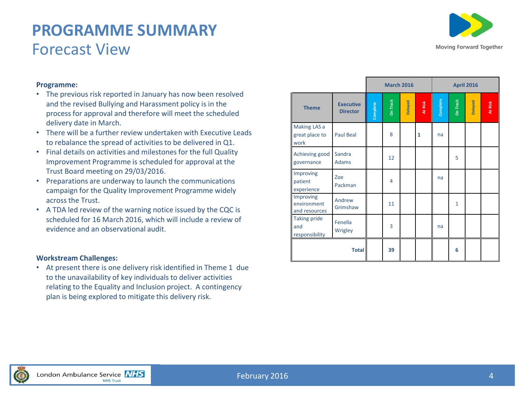#### **PROGRAMME SUMMARY** Forecast View



#### **Programme:**

- The previous risk reported in January has now been resolved and the revised Bullying and Harassment policy is in the process for approval and therefore will meet the scheduled delivery date in March.
- There will be a further review undertaken with Executive Leads to rebalance the spread of activities to be delivered in Q1.
- Final details on activities and milestones for the full Quality Improvement Programme is scheduled for approval at the Trust Board meeting on 29/03/2016.
- Preparations are underway to launch the communications campaign for the Quality Improvement Programme widely across the Trust.
- A TDA led review of the warning notice issued by the CQC is scheduled for 16 March 2016, which will include a review of evidence and an observational audit.

#### **Workstream Challenges:**

• At present there is one delivery risk identified in Theme 1 due to the unavailability of key individuals to deliver activities relating to the Equality and Inclusion project. A contingency plan is being explored to mitigate this delivery risk.

|                                              |                                     |          | <b>March 2016</b> |         |              |          | <b>April 2016</b> |         |         |  |  |
|----------------------------------------------|-------------------------------------|----------|-------------------|---------|--------------|----------|-------------------|---------|---------|--|--|
| <b>Theme</b>                                 | <b>Executive</b><br><b>Director</b> | Complete | <b>On Track</b>   | Delayed | At Risk      | Complete | <b>On Track</b>   | Delayed | At Risk |  |  |
| Making LAS a<br>great place to<br>work       | <b>Paul Beal</b>                    |          | 8                 |         | $\mathbf{1}$ | na       |                   |         |         |  |  |
| Achieving good<br>governance                 | Sandra<br><b>Adams</b>              |          | 12                |         |              |          | 5                 |         |         |  |  |
| Improving<br>patient<br>experience           | Zoe<br>Packman                      |          | $\overline{4}$    |         |              | na       |                   |         |         |  |  |
| Improving<br>environment<br>and resources    | Andrew<br>Grimshaw                  |          | 11                |         |              |          | $\mathbf{1}$      |         |         |  |  |
| <b>Taking pride</b><br>and<br>responsibility | Fenella<br>Wrigley                  |          | 3                 |         |              | na       |                   |         |         |  |  |
|                                              | <b>Total</b>                        |          | 39                |         |              |          | 6                 |         |         |  |  |

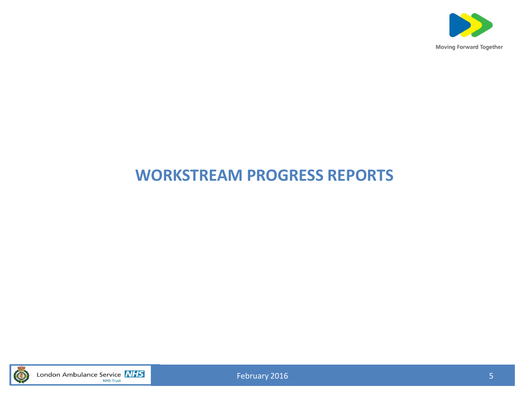

#### **WORKSTREAM PROGRESS REPORTS**



London Ambulance Service **NHS** 

February 2016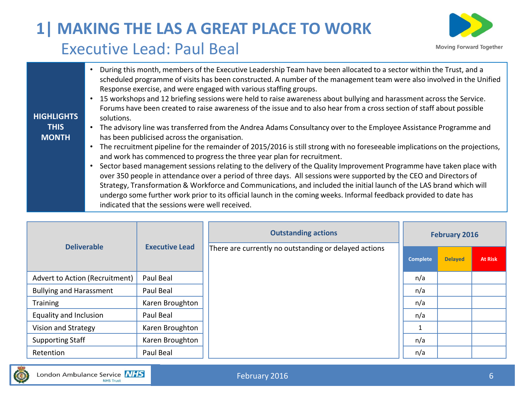# **Moving Forward Together**

## **1| MAKING THE LAS A GREAT PLACE TO WORK** Executive Lead: Paul Beal

| <b>HIGHLIGHTS</b> | During this month, members of the Executive Leadership Team have been allocated to a sector within the Trust, and a<br>scheduled programme of visits has been constructed. A number of the management team were also involved in the Unified<br>Response exercise, and were engaged with various staffing groups.<br>15 workshops and 12 briefing sessions were held to raise awareness about bullying and harassment across the Service.<br>Forums have been created to raise awareness of the issue and to also hear from a cross section of staff about possible<br>solutions. |
|-------------------|-----------------------------------------------------------------------------------------------------------------------------------------------------------------------------------------------------------------------------------------------------------------------------------------------------------------------------------------------------------------------------------------------------------------------------------------------------------------------------------------------------------------------------------------------------------------------------------|
| <b>THIS</b>       | The advisory line was transferred from the Andrea Adams Consultancy over to the Employee Assistance Programme and                                                                                                                                                                                                                                                                                                                                                                                                                                                                 |
| <b>MONTH</b>      | has been publicised across the organisation.<br>The recruitment pipeline for the remainder of 2015/2016 is still strong with no foreseeable implications on the projections,<br>$\bullet$                                                                                                                                                                                                                                                                                                                                                                                         |
|                   | and work has commenced to progress the three year plan for recruitment.                                                                                                                                                                                                                                                                                                                                                                                                                                                                                                           |
|                   | Sector based management sessions relating to the delivery of the Quality Improvement Programme have taken place with                                                                                                                                                                                                                                                                                                                                                                                                                                                              |
|                   | over 350 people in attendance over a period of three days. All sessions were supported by the CEO and Directors of<br>Strategy, Transformation & Workforce and Communications, and included the initial launch of the LAS brand which will                                                                                                                                                                                                                                                                                                                                        |
|                   | undergo some further work prior to its official launch in the coming weeks. Informal feedback provided to date has<br>indicated that the sessions were well received.                                                                                                                                                                                                                                                                                                                                                                                                             |

|                                |                       | <b>Outstanding actions</b>                            |                 | <b>February 2016</b> |                |
|--------------------------------|-----------------------|-------------------------------------------------------|-----------------|----------------------|----------------|
| <b>Deliverable</b>             | <b>Executive Lead</b> | There are currently no outstanding or delayed actions | <b>Complete</b> | <b>Delayed</b>       | <b>At Risk</b> |
| Advert to Action (Recruitment) | Paul Beal             |                                                       | n/a             |                      |                |
| <b>Bullying and Harassment</b> | Paul Beal             |                                                       | n/a             |                      |                |
| <b>Training</b>                | Karen Broughton       |                                                       | n/a             |                      |                |
| Equality and Inclusion         | Paul Beal             |                                                       | n/a             |                      |                |
| Vision and Strategy            | Karen Broughton       |                                                       |                 |                      |                |
| <b>Supporting Staff</b>        | Karen Broughton       |                                                       | n/a             |                      |                |
| Retention                      | Paul Beal             |                                                       | n/a             |                      |                |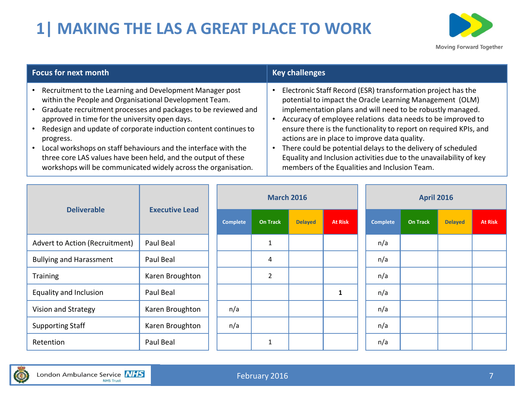# **1| MAKING THE LAS A GREAT PLACE TO WORK**



| Focus for next month                                             | <b>Key challenges</b>                                              |
|------------------------------------------------------------------|--------------------------------------------------------------------|
| Recruitment to the Learning and Development Manager post         | Electronic Staff Record (ESR) transformation project has the       |
| within the People and Organisational Development Team.           | potential to impact the Oracle Learning Management (OLM)           |
| • Graduate recruitment processes and packages to be reviewed and | implementation plans and will need to be robustly managed.         |
| approved in time for the university open days.                   | Accuracy of employee relations data needs to be improved to        |
| Redesign and update of corporate induction content continues to  | ensure there is the functionality to report on required KPIs, and  |
| progress.                                                        | actions are in place to improve data quality.                      |
| Local workshops on staff behaviours and the interface with the   | There could be potential delays to the delivery of scheduled       |
| three core LAS values have been held, and the output of these    | Equality and Inclusion activities due to the unavailability of key |
| workshops will be communicated widely across the organisation.   | members of the Equalities and Inclusion Team.                      |

| <b>Deliverable</b>             | <b>Executive Lead</b> | <b>March 2016</b> |                 |                |                | <b>April 2016</b> |                 |                |                |  |  |
|--------------------------------|-----------------------|-------------------|-----------------|----------------|----------------|-------------------|-----------------|----------------|----------------|--|--|
|                                |                       | <b>Complete</b>   | <b>On Track</b> | <b>Delayed</b> | <b>At Risk</b> | <b>Complete</b>   | <b>On Track</b> | <b>Delayed</b> | <b>At Risk</b> |  |  |
| Advert to Action (Recruitment) | Paul Beal             |                   | $\mathbf{1}$    |                |                | n/a               |                 |                |                |  |  |
| <b>Bullying and Harassment</b> | Paul Beal             |                   | 4               |                |                | n/a               |                 |                |                |  |  |
| Training                       | Karen Broughton       |                   | $\overline{2}$  |                |                | n/a               |                 |                |                |  |  |
| <b>Equality and Inclusion</b>  | Paul Beal             |                   |                 |                | $\mathbf{1}$   | n/a               |                 |                |                |  |  |
| Vision and Strategy            | Karen Broughton       | n/a               |                 |                |                | n/a               |                 |                |                |  |  |
| <b>Supporting Staff</b>        | Karen Broughton       | n/a               |                 |                |                | n/a               |                 |                |                |  |  |
| Retention                      | Paul Beal             |                   | $\mathbf{1}$    |                |                | n/a               |                 |                |                |  |  |

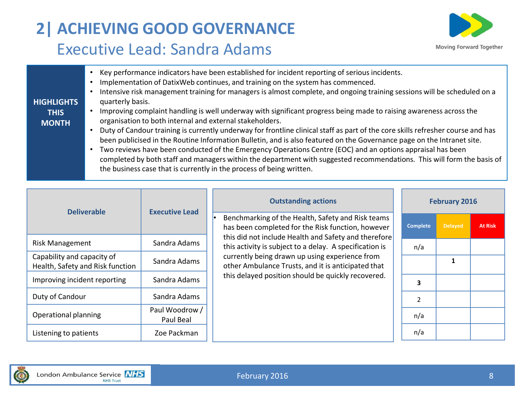# **2| ACHIEVING GOOD GOVERNANCE** Executive Lead: Sandra Adams



|                   | Key performance indicators have been established for incident reporting of serious incidents.<br>Implementation of DatixWeb continues, and training on the system has commenced.<br>Intensive risk management training for managers is almost complete, and ongoing training sessions will be scheduled on a |
|-------------------|--------------------------------------------------------------------------------------------------------------------------------------------------------------------------------------------------------------------------------------------------------------------------------------------------------------|
| <b>HIGHLIGHTS</b> | quarterly basis.                                                                                                                                                                                                                                                                                             |
| <b>THIS</b>       | Improving complaint handling is well underway with significant progress being made to raising awareness across the                                                                                                                                                                                           |
| <b>MONTH</b>      | organisation to both internal and external stakeholders.                                                                                                                                                                                                                                                     |
|                   | Duty of Candour training is currently underway for frontline clinical staff as part of the core skills refresher course and has                                                                                                                                                                              |
|                   | been publicised in the Routine Information Bulletin, and is also featured on the Governance page on the Intranet site.                                                                                                                                                                                       |
|                   | Two reviews have been conducted of the Emergency Operations Centre (EOC) and an options appraisal has been                                                                                                                                                                                                   |
|                   | completed by both staff and managers within the department with suggested recommendations. This will form the basis of                                                                                                                                                                                       |
|                   | the business case that is currently in the process of being written.                                                                                                                                                                                                                                         |

| <b>Deliverable</b>                                             | <b>Executive Lead</b>       | <b>Outstanding actions</b>                                                                                      |                 | <b>February 2016</b> |                |
|----------------------------------------------------------------|-----------------------------|-----------------------------------------------------------------------------------------------------------------|-----------------|----------------------|----------------|
|                                                                |                             | Benchmarking of the Health, Safety and Risk teams<br>has been completed for the Risk function, however          | <b>Complete</b> | <b>Delayed</b>       | <b>At Risk</b> |
| <b>Risk Management</b>                                         | Sandra Adams                | this did not include Health and Safety and therefore<br>this activity is subject to a delay. A specification is | n/a             |                      |                |
| Capability and capacity of<br>Health, Safety and Risk function | Sandra Adams                | currently being drawn up using experience from<br>other Ambulance Trusts, and it is anticipated that            |                 |                      |                |
| Improving incident reporting                                   | Sandra Adams                | this delayed position should be quickly recovered.                                                              | З               |                      |                |
| Duty of Candour                                                | Sandra Adams                |                                                                                                                 | $\overline{2}$  |                      |                |
| Operational planning                                           | Paul Woodrow /<br>Paul Beal |                                                                                                                 | n/a             |                      |                |
| Listening to patients                                          | Zoe Packman                 |                                                                                                                 | n/a             |                      |                |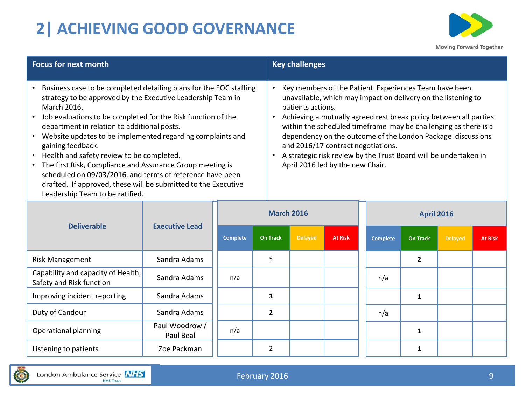# **2| ACHIEVING GOOD GOVERNANCE**



| <b>Focus for next month</b>                                                                                                                                                                                                                                                                                                                                                                                                                                                                                                                                                                                                          | <b>Key challenges</b>                                                                                                                                                                                                                                                                                                                                                                                                                                                                            |
|--------------------------------------------------------------------------------------------------------------------------------------------------------------------------------------------------------------------------------------------------------------------------------------------------------------------------------------------------------------------------------------------------------------------------------------------------------------------------------------------------------------------------------------------------------------------------------------------------------------------------------------|--------------------------------------------------------------------------------------------------------------------------------------------------------------------------------------------------------------------------------------------------------------------------------------------------------------------------------------------------------------------------------------------------------------------------------------------------------------------------------------------------|
| Business case to be completed detailing plans for the EOC staffing<br>strategy to be approved by the Executive Leadership Team in<br>March 2016.<br>Job evaluations to be completed for the Risk function of the<br>department in relation to additional posts.<br>• Website updates to be implemented regarding complaints and<br>gaining feedback.<br>• Health and safety review to be completed.<br>• The first Risk, Compliance and Assurance Group meeting is<br>scheduled on 09/03/2016, and terms of reference have been<br>drafted. If approved, these will be submitted to the Executive<br>Leadership Team to be ratified. | Key members of the Patient Experiences Team have been<br>unavailable, which may impact on delivery on the listening to<br>patients actions.<br>Achieving a mutually agreed rest break policy between all parties<br>within the scheduled timeframe may be challenging as there is a<br>dependency on the outcome of the London Package discussions<br>and 2016/17 contract negotiations.<br>A strategic risk review by the Trust Board will be undertaken in<br>April 2016 led by the new Chair. |

| <b>Deliverable</b>                                             | <b>Executive Lead</b>       | <b>March 2016</b> |                 |                |                |                 | <b>April 2016</b> |                |                |  |  |  |  |
|----------------------------------------------------------------|-----------------------------|-------------------|-----------------|----------------|----------------|-----------------|-------------------|----------------|----------------|--|--|--|--|
|                                                                |                             | <b>Complete</b>   | <b>On Track</b> | <b>Delayed</b> | <b>At Risk</b> | <b>Complete</b> | <b>On Track</b>   | <b>Delayed</b> | <b>At Risk</b> |  |  |  |  |
| <b>Risk Management</b>                                         | Sandra Adams                |                   | 5               |                |                |                 | $\overline{2}$    |                |                |  |  |  |  |
| Capability and capacity of Health,<br>Safety and Risk function | Sandra Adams                | n/a               |                 |                |                | n/a             |                   |                |                |  |  |  |  |
| Improving incident reporting                                   | Sandra Adams                |                   | 3               |                |                |                 | 1                 |                |                |  |  |  |  |
| Duty of Candour                                                | Sandra Adams                |                   | 2               |                |                | n/a             |                   |                |                |  |  |  |  |
| Operational planning                                           | Paul Woodrow /<br>Paul Beal | n/a               |                 |                |                |                 |                   |                |                |  |  |  |  |
| Listening to patients                                          | Zoe Packman                 |                   | 2               |                |                |                 |                   |                |                |  |  |  |  |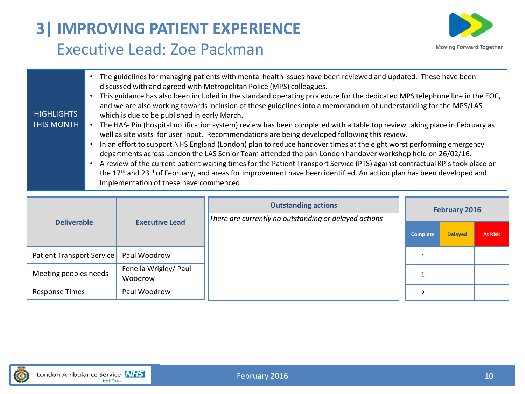## **3| IMPROVING PATIENT EXPERIENCE** Executive Lead: Zoe Packman



|  | The guidelines for managing patients with mental health issues have been reviewed and updated. These have been<br>discussed with and agreed with Metropolitan Police (MPS) colleagues.<br>This guidance has also been included in the standard operating procedure for the dedicated MPS telephone line in the EOC,<br>and we are also working towards inclusion of these guidelines into a memorandum of understanding for the MPS/LAS<br><b>HIGHLIGHTS</b><br>which is due to be published in early March.<br>THIS MONTH<br>The HAS- Pin (hospital notification system) review has been completed with a table top review taking place in February as<br>well as site visits for user input. Recommendations are being developed following this review.<br>In an effort to support NHS England (London) plan to reduce handover times at the eight worst performing emergency<br>departments across London the LAS Senior Team attended the pan-London handover workshop held on 26/02/16.<br>A review of the current patient waiting times for the Patient Transport Service (PTS) against contractual KPIs took place on<br>the 17 <sup>th</sup> and 23 <sup>rd</sup> of February, and areas for improvement have been identified. An action plan has been developed and<br>implementation of these have commenced |
|--|------------------------------------------------------------------------------------------------------------------------------------------------------------------------------------------------------------------------------------------------------------------------------------------------------------------------------------------------------------------------------------------------------------------------------------------------------------------------------------------------------------------------------------------------------------------------------------------------------------------------------------------------------------------------------------------------------------------------------------------------------------------------------------------------------------------------------------------------------------------------------------------------------------------------------------------------------------------------------------------------------------------------------------------------------------------------------------------------------------------------------------------------------------------------------------------------------------------------------------------------------------------------------------------------------------------------|
|--|------------------------------------------------------------------------------------------------------------------------------------------------------------------------------------------------------------------------------------------------------------------------------------------------------------------------------------------------------------------------------------------------------------------------------------------------------------------------------------------------------------------------------------------------------------------------------------------------------------------------------------------------------------------------------------------------------------------------------------------------------------------------------------------------------------------------------------------------------------------------------------------------------------------------------------------------------------------------------------------------------------------------------------------------------------------------------------------------------------------------------------------------------------------------------------------------------------------------------------------------------------------------------------------------------------------------|

| <b>Deliverable</b>        |                                  | <b>Outstanding actions</b><br>There are currently no outstanding or delayed actions |          | <b>February 2016</b> |                |
|---------------------------|----------------------------------|-------------------------------------------------------------------------------------|----------|----------------------|----------------|
|                           | <b>Executive Lead</b>            |                                                                                     | Complete | <b>Delayed</b>       | <b>At Risk</b> |
| Patient Transport Service | Paul Woodrow                     |                                                                                     |          |                      |                |
| Meeting peoples needs     | Fenella Wrigley/ Paul<br>Woodrow |                                                                                     |          |                      |                |
| <b>Response Times</b>     | Paul Woodrow                     |                                                                                     |          |                      |                |

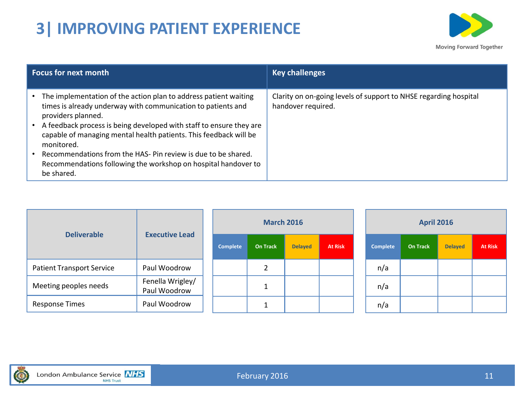# **3| IMPROVING PATIENT EXPERIENCE**



| <b>Focus for next month</b>                                                                                                                                                                                                                                                                                                                                                                                                                                      | <b>Key challenges</b>                                                                  |
|------------------------------------------------------------------------------------------------------------------------------------------------------------------------------------------------------------------------------------------------------------------------------------------------------------------------------------------------------------------------------------------------------------------------------------------------------------------|----------------------------------------------------------------------------------------|
| The implementation of the action plan to address patient waiting<br>times is already underway with communication to patients and<br>providers planned.<br>A feedback process is being developed with staff to ensure they are<br>capable of managing mental health patients. This feedback will be<br>monitored.<br>Recommendations from the HAS-Pin review is due to be shared.<br>Recommendations following the workshop on hospital handover to<br>be shared. | Clarity on on-going levels of support to NHSE regarding hospital<br>handover required. |

| <b>Deliverable</b>               | <b>Executive Lead</b>            |                 | <b>March 2016</b> |                |                | <b>April 2016</b> |                 |                |                |  |
|----------------------------------|----------------------------------|-----------------|-------------------|----------------|----------------|-------------------|-----------------|----------------|----------------|--|
|                                  |                                  | <b>Complete</b> | <b>On Track</b>   | <b>Delayed</b> | <b>At Risk</b> | <b>Complete</b>   | <b>On Track</b> | <b>Delayed</b> | <b>At Risk</b> |  |
| <b>Patient Transport Service</b> | Paul Woodrow                     |                 | ำ                 |                |                | n/a               |                 |                |                |  |
| Meeting peoples needs            | Fenella Wrigley/<br>Paul Woodrow |                 |                   |                |                | n/a               |                 |                |                |  |
| <b>Response Times</b>            | Paul Woodrow                     |                 |                   |                |                | n/a               |                 |                |                |  |

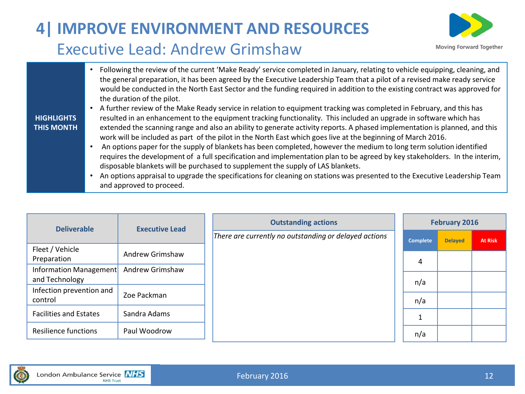# **4| IMPROVE ENVIRONMENT AND RESOURCES** Executive Lead: Andrew Grimshaw



• Following the review of the current 'Make Ready' service completed in January, relating to vehicle equipping, cleaning, and the general preparation, it has been agreed by the Executive Leadership Team that a pilot of a revised make ready service would be conducted in the North East Sector and the funding required in addition to the existing contract was approved for the duration of the pilot.

#### **HIGHLIGHTS THIS MONTH**

- A further review of the Make Ready service in relation to equipment tracking was completed in February, and this has resulted in an enhancement to the equipment tracking functionality. This included an upgrade in software which has extended the scanning range and also an ability to generate activity reports. A phased implementation is planned, and this work will be included as part of the pilot in the North East which goes live at the beginning of March 2016.
- An options paper for the supply of blankets has been completed, however the medium to long term solution identified requires the development of a full specification and implementation plan to be agreed by key stakeholders. In the interim, disposable blankets will be purchased to supplement the supply of LAS blankets.
- An options appraisal to upgrade the specifications for cleaning on stations was presented to the Executive Leadership Team and approved to proceed.

| <b>Deliverable</b>                       | <b>Executive Lead</b>  | <b>Outstanding actions</b>                            | February 2016   |                |                |  |  |
|------------------------------------------|------------------------|-------------------------------------------------------|-----------------|----------------|----------------|--|--|
|                                          |                        | There are currently no outstanding or delayed actions | <b>Complete</b> | <b>Delayed</b> | <b>At Risk</b> |  |  |
| Fleet / Vehicle<br>Preparation           | Andrew Grimshaw        |                                                       | 4               |                |                |  |  |
| Information Management<br>and Technology | <b>Andrew Grimshaw</b> |                                                       | n/a             |                |                |  |  |
| Infection prevention and<br>control      | Zoe Packman            |                                                       | n/a             |                |                |  |  |
| <b>Facilities and Estates</b>            | Sandra Adams           |                                                       |                 |                |                |  |  |
| <b>Resilience functions</b>              | Paul Woodrow           |                                                       | n/a             |                |                |  |  |

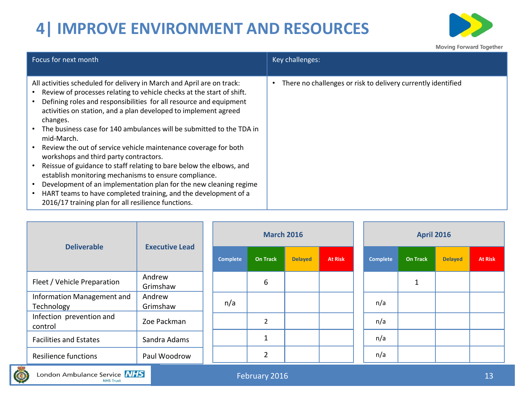# **4| IMPROVE ENVIRONMENT AND RESOURCES**



| All activities scheduled for delivery in March and April are on track:<br>• Review of processes relating to vehicle checks at the start of shift.                                                                                                                                                                                                                                                                                                                                                                                                                                                                                         |                                                              |
|-------------------------------------------------------------------------------------------------------------------------------------------------------------------------------------------------------------------------------------------------------------------------------------------------------------------------------------------------------------------------------------------------------------------------------------------------------------------------------------------------------------------------------------------------------------------------------------------------------------------------------------------|--------------------------------------------------------------|
| Defining roles and responsibilities for all resource and equipment<br>activities on station, and a plan developed to implement agreed<br>changes.<br>The business case for 140 ambulances will be submitted to the TDA in<br>mid-March.<br>Review the out of service vehicle maintenance coverage for both<br>$\bullet$<br>workshops and third party contractors.<br>Reissue of guidance to staff relating to bare below the elbows, and<br>establish monitoring mechanisms to ensure compliance.<br>Development of an implementation plan for the new cleaning regime<br>HART teams to have completed training, and the development of a | There no challenges or risk to delivery currently identified |

| <b>Deliverable</b>                       |                       |  |          | <b>March 2016</b>    |                |                | <b>April 2016</b> |                 |                |                |  |  |
|------------------------------------------|-----------------------|--|----------|----------------------|----------------|----------------|-------------------|-----------------|----------------|----------------|--|--|
|                                          | <b>Executive Lead</b> |  | Complete | <b>On Track</b>      | <b>Delayed</b> | <b>At Risk</b> | Complete          | <b>On Track</b> | <b>Delayed</b> | <b>At Risk</b> |  |  |
| Fleet / Vehicle Preparation              | Andrew<br>Grimshaw    |  |          | 6                    |                |                |                   |                 |                |                |  |  |
| Information Management and<br>Technology | Andrew<br>Grimshaw    |  | n/a      |                      |                |                | n/a               |                 |                |                |  |  |
| Infection prevention and<br>control      | Zoe Packman           |  |          | $\overline{2}$       |                |                | n/a               |                 |                |                |  |  |
| <b>Facilities and Estates</b>            | Sandra Adams          |  |          | $\blacktriangleleft$ |                |                | n/a               |                 |                |                |  |  |
| <b>Resilience functions</b>              | Paul Woodrow          |  |          | $\overline{2}$       |                |                | n/a               |                 |                |                |  |  |

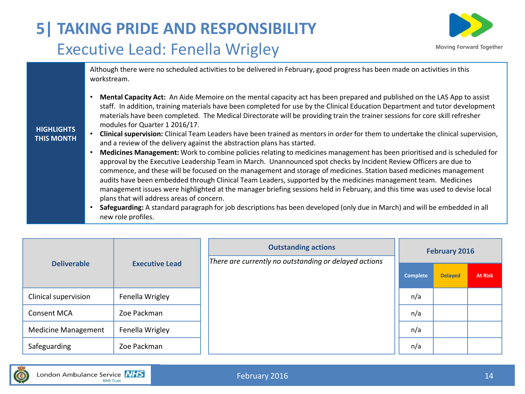# **5| TAKING PRIDE AND RESPONSIBILITY** Executive Lead: Fenella Wrigley



Although there were no scheduled activities to be delivered in February, good progress has been made on activities in this workstream.

• **Mental Capacity Act:** An Aide Memoire on the mental capacity act has been prepared and published on the LAS App to assist staff. In addition, training materials have been completed for use by the Clinical Education Department and tutor development materials have been completed. The Medical Directorate will be providing train the trainer sessions for core skill refresher modules for Quarter 1 2016/17.

#### **HIGHLIGHTS THIS MONTH**

- **Clinical supervision:** Clinical Team Leaders have been trained as mentors in order for them to undertake the clinical supervision, and a review of the delivery against the abstraction plans has started.
- **Medicines Management:** Work to combine policies relating to medicines management has been prioritised and is scheduled for approval by the Executive Leadership Team in March. Unannounced spot checks by Incident Review Officers are due to commence, and these will be focused on the management and storage of medicines. Station based medicines management audits have been embedded through Clinical Team Leaders, supported by the medicines management team. Medicines management issues were highlighted at the manager briefing sessions held in February, and this time was used to devise local plans that will address areas of concern.
- **Safeguarding:** A standard paragraph for job descriptions has been developed (only due in March) and will be embedded in all new role profiles.

| <b>Deliverable</b>         | <b>Executive Lead</b> | <b>Outstanding actions</b><br>There are currently no outstanding or delayed actions |                 | <b>February 2016</b> |                |
|----------------------------|-----------------------|-------------------------------------------------------------------------------------|-----------------|----------------------|----------------|
|                            |                       |                                                                                     | <b>Complete</b> | <b>Delayed</b>       | <b>At Risk</b> |
| Clinical supervision       | Fenella Wrigley       |                                                                                     | n/a             |                      |                |
| <b>Consent MCA</b>         | Zoe Packman           |                                                                                     | n/a             |                      |                |
| <b>Medicine Management</b> | Fenella Wrigley       |                                                                                     | n/a             |                      |                |
| Safeguarding               | Zoe Packman           |                                                                                     | n/a             |                      |                |